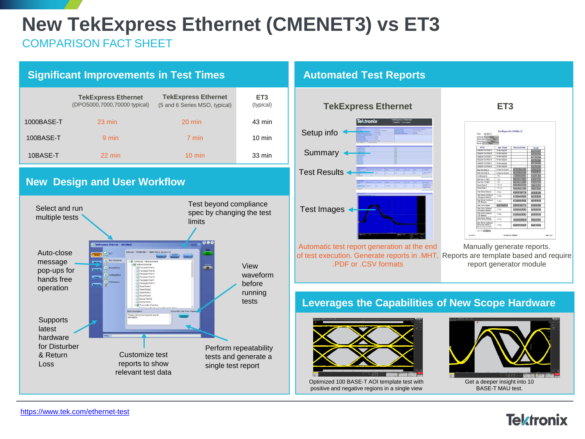# **New TekExpress Ethernet (CMENET3) vs ET3**

COMPARISON FACT SHEET



|            | <b>TekExpress Ethernet</b><br>(DPO5000,7000,70000 typical) | <b>TekExpress Ethernet</b><br>(5 and 6 Series MSO, typical) | ET <sub>3</sub><br>(typical) |
|------------|------------------------------------------------------------|-------------------------------------------------------------|------------------------------|
| 1000BASE-T | $23 \text{ min}$                                           | $20 \text{ min}$                                            | 43 min                       |
| 100BASE-T  | 9 min                                                      | 7 min                                                       | $10 \text{ min}$             |
| 10BASE-T   | 22 min                                                     | $10 \text{ min}$                                            | 33 min                       |

### **New Design and User Workflow**



#### **Automated Test Reports**



Automatic test report generation at the end of test execution. Generate reports in .MHT, Reports are template based and require .PDF or .CSV formats



Manually generate reports. report generator module

#### **Leverages the Capabilities of New Scope Hardware**



Optimized 100 BASE-T AOI template test with positive and negative regions in a single view



**Tektronix**